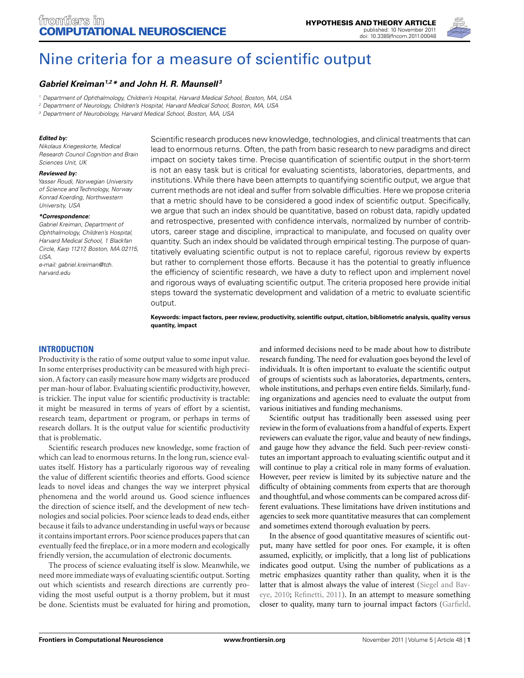

# [Nine criteria for a measure of scientific output](http://www.frontiersin.org/Computational_Neuroscience/10.3389/fncom.2011.00048/abstract)

# *[Gabriel Kreiman1](http://www.frontiersin.org/Community/WhosWhoDetails.aspx?UID=10136&d=1&sname=GabrielKreiman&name=Science),2\* and John H. R. Maunsell <sup>3</sup>*

<sup>1</sup> Department of Ophthalmology, Children's Hospital, Harvard Medical School, Boston, MA, USA

<sup>2</sup> Department of Neurology, Children's Hospital, Harvard Medical School, Boston, MA, USA

<sup>3</sup> Department of Neurobiology, Harvard Medical School, Boston, MA, USA

## *Edited by:*

Nikolaus Kriegeskorte, Medical Research Council Cognition and Brain Sciences Unit, UK

#### *Reviewed by:*

Yasser Roudi, Norwegian University of Science and Technology, Norway Konrad Koerding, Northwestern University, USA

#### *\*Correspondence:*

Gabriel Kreiman, Department of Ophthalmology, Children's Hospital, Harvard Medical School, 1 Blackfan Circle, Karp 11217, Boston, MA 02115,  $IISA$ e-mail: gabriel.kreiman@tch. harvard.edu

Scientific research produces new knowledge, technologies, and clinical treatments that can lead to enormous returns. Often, the path from basic research to new paradigms and direct impact on society takes time. Precise quantification of scientific output in the short-term is not an easy task but is critical for evaluating scientists, laboratories, departments, and institutions.While there have been attempts to quantifying scientific output, we argue that current methods are not ideal and suffer from solvable difficulties. Here we propose criteria that a metric should have to be considered a good index of scientific output. Specifically, we argue that such an index should be quantitative, based on robust data, rapidly updated and retrospective, presented with confidence intervals, normalized by number of contributors, career stage and discipline, impractical to manipulate, and focused on quality over quantity. Such an index should be validated through empirical testing.The purpose of quantitatively evaluating scientific output is not to replace careful, rigorous review by experts but rather to complement those efforts. Because it has the potential to greatly influence the efficiency of scientific research, we have a duty to reflect upon and implement novel and rigorous ways of evaluating scientific output. The criteria proposed here provide initial steps toward the systematic development and validation of a metric to evaluate scientific output.

**Keywords: impact factors, peer review, productivity, scientific output, citation, bibliometric analysis, quality versus quantity, impact**

# **INTRODUCTION**

Productivity is the ratio of some output value to some input value. In some enterprises productivity can be measured with high precision. A factory can easily measure how many widgets are produced per man-hour of labor. Evaluating scientific productivity, however, is trickier. The input value for scientific productivity is tractable: it might be measured in terms of years of effort by a scientist, research team, department or program, or perhaps in terms of research dollars. It is the output value for scientific productivity that is problematic.

Scientific research produces new knowledge, some fraction of which can lead to enormous returns. In the long run, science evaluates itself. History has a particularly rigorous way of revealing the value of different scientific theories and efforts. Good science leads to novel ideas and changes the way we interpret physical phenomena and the world around us. Good science influences the direction of science itself, and the development of new technologies and social policies. Poor science leads to dead ends, either because it fails to advance understanding in useful ways or because it contains important errors. Poor science produces papers that can eventually feed the fireplace, or in a more modern and ecologically friendly version, the accumulation of electronic documents.

The process of science evaluating itself is slow. Meanwhile, we need more immediate ways of evaluating scientific output. Sorting out which scientists and research directions are currently providing the most useful output is a thorny problem, but it must be done. Scientists must be evaluated for hiring and promotion,

and informed decisions need to be made about how to distribute research funding. The need for evaluation goes beyond the level of individuals. It is often important to evaluate the scientific output of groups of scientists such as laboratories, departments, centers, whole institutions, and perhaps even entire fields. Similarly, funding organizations and agencies need to evaluate the output from various initiatives and funding mechanisms.

Scientific output has traditionally been assessed using peer review in the form of evaluations from a handful of experts. Expert reviewers can evaluate the rigor, value and beauty of new findings, and gauge how they advance the field. Such peer-review constitutes an important approach to evaluating scientific output and it will continue to play a critical role in many forms of evaluation. However, peer review is limited by its subjective nature and the difficulty of obtaining comments from experts that are thorough and thoughtful, and whose comments can be compared across different evaluations. These limitations have driven institutions and agencies to seek more quantitative measures that can complement and sometimes extend thorough evaluation by peers.

In the absence of good quantitative measures of scientific output, many have settled for poor ones. For example, it is often assumed, explicitly, or implicitly, that a long list of publications indicates good output. Using the number of publications as a metric emphasizes quantity rather than quality, when it is the latt[er that is almost always the value of interest \(](#page-5-0)Siegel and Baveye, [2010;](#page-5-0) [Refinetti](#page-5-0), [2011](#page-5-0)). In an attempt to measure something closer to quality, many turn to journal impact factors [\(Garfield,](#page-5-0)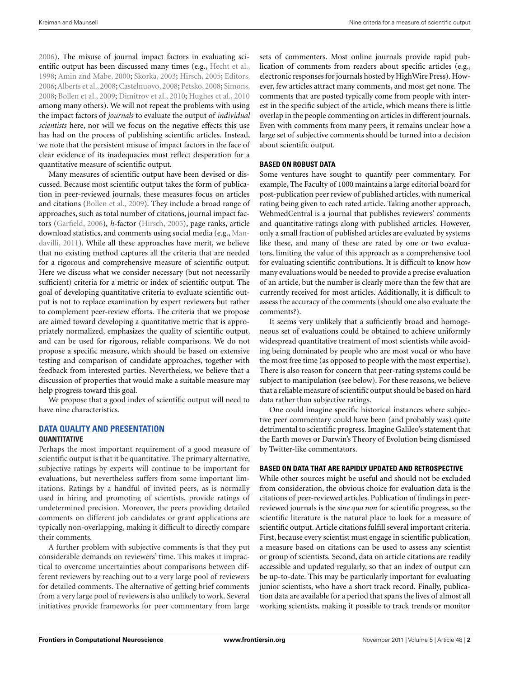[2006\)](#page-5-0). The misuse of journal impact factors in evaluating scientific output has been discussed many times (e.g., [Hecht et al.,](#page-5-0) [1998;](#page-5-0) [Amin and Mabe, 2000](#page-5-0); [Skorka](#page-5-0), [2003;](#page-5-0) [Hirsch, 2005](#page-5-0); [Editors,](#page-5-0) 2006; Alberts et al., [2008](#page-5-0); [Castelnuovo](#page-5-0), [2008;](#page-5-0) [Petsko](#page-5-0), 2008; [Simons,](#page-5-0) [2008;](#page-5-0) [Bollen et al.](#page-5-0), [2009;](#page-5-0) [Dimitrov et al.](#page-5-0), [2010](#page-5-0); [Hughes et al., 2010](#page-5-0) among many others). We will not repeat the problems with using the impact factors of *journals* to evaluate the output of *individual scientists* here, nor will we focus on the negative effects this use has had on the process of publishing scientific articles. Instead, we note that the persistent misuse of impact factors in the face of clear evidence of its inadequacies must reflect desperation for a quantitative measure of scientific output.

Many measures of scientific output have been devised or discussed. Because most scientific output takes the form of publication in peer-reviewed journals, these measures focus on articles and citations [\(Bollen et al., 2009](#page-5-0)). They include a broad range of approaches, such as total number of citations, journal impact factors [\(Garfield](#page-5-0), [2006](#page-5-0)), *h*-factor [\(Hirsch](#page-5-0), [2005](#page-5-0)), page ranks, article down[load](#page-5-0) [statistics,](#page-5-0) [and](#page-5-0) [comments](#page-5-0) [using](#page-5-0) [social](#page-5-0) [media](#page-5-0) [\(e.g.,](#page-5-0) Mandavilli, [2011\)](#page-5-0). While all these approaches have merit, we believe that no existing method captures all the criteria that are needed for a rigorous and comprehensive measure of scientific output. Here we discuss what we consider necessary (but not necessarily sufficient) criteria for a metric or index of scientific output. The goal of developing quantitative criteria to evaluate scientific output is not to replace examination by expert reviewers but rather to complement peer-review efforts. The criteria that we propose are aimed toward developing a quantitative metric that is appropriately normalized, emphasizes the quality of scientific output, and can be used for rigorous, reliable comparisons. We do not propose a specific measure, which should be based on extensive testing and comparison of candidate approaches, together with feedback from interested parties. Nevertheless, we believe that a discussion of properties that would make a suitable measure may help progress toward this goal.

We propose that a good index of scientific output will need to have nine characteristics.

# **DATA QUALITY AND PRESENTATION QUANTITATIVE**

Perhaps the most important requirement of a good measure of scientific output is that it be quantitative. The primary alternative, subjective ratings by experts will continue to be important for evaluations, but nevertheless suffers from some important limitations. Ratings by a handful of invited peers, as is normally used in hiring and promoting of scientists, provide ratings of undetermined precision. Moreover, the peers providing detailed comments on different job candidates or grant applications are typically non-overlapping, making it difficult to directly compare their comments.

A further problem with subjective comments is that they put considerable demands on reviewers' time. This makes it impractical to overcome uncertainties about comparisons between different reviewers by reaching out to a very large pool of reviewers for detailed comments. The alternative of getting brief comments from a very large pool of reviewers is also unlikely to work. Several initiatives provide frameworks for peer commentary from large

sets of commenters. Most online journals provide rapid publication of comments from readers about specific articles (e.g., electronic responses for journals hosted by HighWire Press). However, few articles attract many comments, and most get none. The comments that are posted typically come from people with interest in the specific subject of the article, which means there is little overlap in the people commenting on articles in different journals. Even with comments from many peers, it remains unclear how a large set of subjective comments should be turned into a decision about scientific output.

## **BASED ON ROBUST DATA**

Some ventures have sought to quantify peer commentary. For example, The Faculty of 1000 maintains a large editorial board for post-publication peer review of published articles, with numerical rating being given to each rated article. Taking another approach, WebmedCentral is a journal that publishes reviewers' comments and quantitative ratings along with published articles. However, only a small fraction of published articles are evaluated by systems like these, and many of these are rated by one or two evaluators, limiting the value of this approach as a comprehensive tool for evaluating scientific contributions. It is difficult to know how many evaluations would be needed to provide a precise evaluation of an article, but the number is clearly more than the few that are currently received for most articles. Additionally, it is difficult to assess the accuracy of the comments (should one also evaluate the comments?).

It seems very unlikely that a sufficiently broad and homogeneous set of evaluations could be obtained to achieve uniformly widespread quantitative treatment of most scientists while avoiding being dominated by people who are most vocal or who have the most free time (as opposed to people with the most expertise). There is also reason for concern that peer-rating systems could be subject to manipulation (see below). For these reasons, we believe that a reliable measure of scientific output should be based on hard data rather than subjective ratings.

One could imagine specific historical instances where subjective peer commentary could have been (and probably was) quite detrimental to scientific progress. Imagine Galileo's statement that the Earth moves or Darwin's Theory of Evolution being dismissed by Twitter-like commentators.

## **BASED ON DATA THAT ARE RAPIDLY UPDATED AND RETROSPECTIVE**

While other sources might be useful and should not be excluded from consideration, the obvious choice for evaluation data is the citations of peer-reviewed articles. Publication of findings in peerreviewed journals is the *sine qua non* for scientific progress, so the scientific literature is the natural place to look for a measure of scientific output. Article citations fulfill several important criteria. First, because every scientist must engage in scientific publication, a measure based on citations can be used to assess any scientist or group of scientists. Second, data on article citations are readily accessible and updated regularly, so that an index of output can be up-to-date. This may be particularly important for evaluating junior scientists, who have a short track record. Finally, publication data are available for a period that spans the lives of almost all working scientists, making it possible to track trends or monitor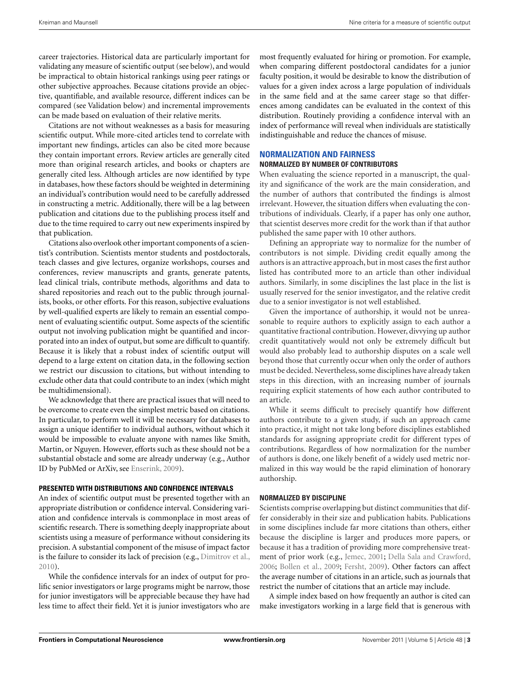career trajectories. Historical data are particularly important for validating any measure of scientific output (see below), and would be impractical to obtain historical rankings using peer ratings or other subjective approaches. Because citations provide an objective, quantifiable, and available resource, different indices can be compared (see Validation below) and incremental improvements can be made based on evaluation of their relative merits.

Citations are not without weaknesses as a basis for measuring scientific output. While more-cited articles tend to correlate with important new findings, articles can also be cited more because they contain important errors. Review articles are generally cited more than original research articles, and books or chapters are generally cited less. Although articles are now identified by type in databases, how these factors should be weighted in determining an individual's contribution would need to be carefully addressed in constructing a metric. Additionally, there will be a lag between publication and citations due to the publishing process itself and due to the time required to carry out new experiments inspired by that publication.

Citations also overlook other important components of a scientist's contribution. Scientists mentor students and postdoctorals, teach classes and give lectures, organize workshops, courses and conferences, review manuscripts and grants, generate patents, lead clinical trials, contribute methods, algorithms and data to shared repositories and reach out to the public through journalists, books, or other efforts. For this reason, subjective evaluations by well-qualified experts are likely to remain an essential component of evaluating scientific output. Some aspects of the scientific output not involving publication might be quantified and incorporated into an index of output, but some are difficult to quantify. Because it is likely that a robust index of scientific output will depend to a large extent on citation data, in the following section we restrict our discussion to citations, but without intending to exclude other data that could contribute to an index (which might be multidimensional).

We acknowledge that there are practical issues that will need to be overcome to create even the simplest metric based on citations. In particular, to perform well it will be necessary for databases to assign a unique identifier to individual authors, without which it would be impossible to evaluate anyone with names like Smith, Martin, or Nguyen. However, efforts such as these should not be a substantial obstacle and some are already underway (e.g., Author ID by PubMed or ArXiv, see [Enserink, 2009](#page-5-0)).

#### **PRESENTED WITH DISTRIBUTIONS AND CONFIDENCE INTERVALS**

An index of scientific output must be presented together with an appropriate distribution or confidence interval. Considering variation and confidence intervals is commonplace in most areas of scientific research. There is something deeply inappropriate about scientists using a measure of performance without considering its precision. A substantial component of the misuse of impact factor is the failure to consider its lack of precision (e.g., [Dimitrov et al.,](#page-5-0) [2010\)](#page-5-0).

While the confidence intervals for an index of output for prolific senior investigators or large programs might be narrow, those for junior investigators will be appreciable because they have had less time to affect their field. Yet it is junior investigators who are most frequently evaluated for hiring or promotion. For example, when comparing different postdoctoral candidates for a junior faculty position, it would be desirable to know the distribution of values for a given index across a large population of individuals in the same field and at the same career stage so that differences among candidates can be evaluated in the context of this distribution. Routinely providing a confidence interval with an index of performance will reveal when individuals are statistically indistinguishable and reduce the chances of misuse.

## **NORMALIZATION AND FAIRNESS**

#### **NORMALIZED BY NUMBER OF CONTRIBUTORS**

When evaluating the science reported in a manuscript, the quality and significance of the work are the main consideration, and the number of authors that contributed the findings is almost irrelevant. However, the situation differs when evaluating the contributions of individuals. Clearly, if a paper has only one author, that scientist deserves more credit for the work than if that author published the same paper with 10 other authors.

Defining an appropriate way to normalize for the number of contributors is not simple. Dividing credit equally among the authors is an attractive approach, but in most cases the first author listed has contributed more to an article than other individual authors. Similarly, in some disciplines the last place in the list is usually reserved for the senior investigator, and the relative credit due to a senior investigator is not well established.

Given the importance of authorship, it would not be unreasonable to require authors to explicitly assign to each author a quantitative fractional contribution. However, divvying up author credit quantitatively would not only be extremely difficult but would also probably lead to authorship disputes on a scale well beyond those that currently occur when only the order of authors must be decided. Nevertheless, some disciplines have already taken steps in this direction, with an increasing number of journals requiring explicit statements of how each author contributed to an article.

While it seems difficult to precisely quantify how different authors contribute to a given study, if such an approach came into practice, it might not take long before disciplines established standards for assigning appropriate credit for different types of contributions. Regardless of how normalization for the number of authors is done, one likely benefit of a widely used metric normalized in this way would be the rapid elimination of honorary authorship.

## **NORMALIZED BY DISCIPLINE**

Scientists comprise overlapping but distinct communities that differ considerably in their size and publication habits. Publications in some disciplines include far more citations than others, either because the discipline is larger and produces more papers, or because it has a tradition of providing more comprehensive treatment of prior work (e.g., [Jemec, 2001;](#page-5-0) [Della Sala and Crawford,](#page-5-0) [2006;](#page-5-0) [Bollen et al., 2009](#page-5-0); [Fersht, 2009](#page-5-0)). Other factors can affect the average number of citations in an article, such as journals that restrict the number of citations that an article may include.

A simple index based on how frequently an author is cited can make investigators working in a large field that is generous with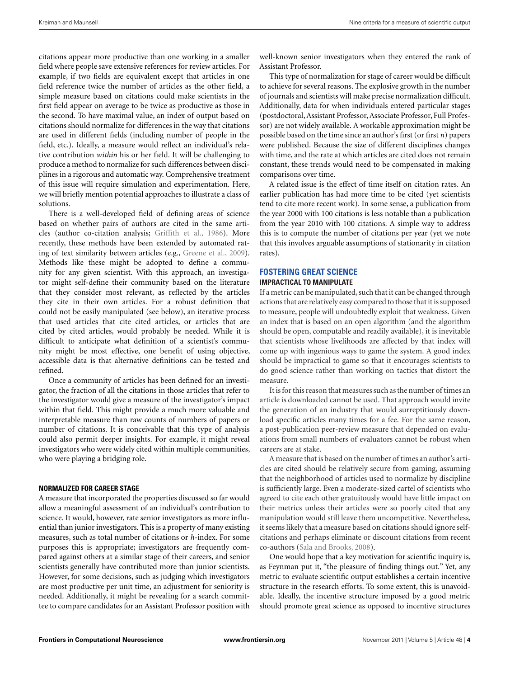citations appear more productive than one working in a smaller field where people save extensive references for review articles. For example, if two fields are equivalent except that articles in one field reference twice the number of articles as the other field, a simple measure based on citations could make scientists in the first field appear on average to be twice as productive as those in the second. To have maximal value, an index of output based on citations should normalize for differences in the way that citations are used in different fields (including number of people in the field, etc.). Ideally, a measure would reflect an individual's relative contribution *within* his or her field. It will be challenging to produce a method to normalize for such differences between disciplines in a rigorous and automatic way. Comprehensive treatment of this issue will require simulation and experimentation. Here, we will briefly mention potential approaches to illustrate a class of solutions.

There is a well-developed field of defining areas of science based on whether pairs of authors are cited in the same articles (author co-citation analysis; [Griffith et al.](#page-5-0), [1986\)](#page-5-0). More recently, these methods have been extended by automated rating of text similarity between articles (e.g., [Greene et al., 2009](#page-5-0)). Methods like these might be adopted to define a community for any given scientist. With this approach, an investigator might self-define their community based on the literature that they consider most relevant, as reflected by the articles they cite in their own articles. For a robust definition that could not be easily manipulated (see below), an iterative process that used articles that cite cited articles, or articles that are cited by cited articles, would probably be needed. While it is difficult to anticipate what definition of a scientist's community might be most effective, one benefit of using objective, accessible data is that alternative definitions can be tested and refined.

Once a community of articles has been defined for an investigator, the fraction of all the citations in those articles that refer to the investigator would give a measure of the investigator's impact within that field. This might provide a much more valuable and interpretable measure than raw counts of numbers of papers or number of citations. It is conceivable that this type of analysis could also permit deeper insights. For example, it might reveal investigators who were widely cited within multiple communities, who were playing a bridging role.

## **NORMALIZED FOR CAREER STAGE**

A measure that incorporated the properties discussed so far would allow a meaningful assessment of an individual's contribution to science. It would, however, rate senior investigators as more influential than junior investigators. This is a property of many existing measures, such as total number of citations or *h*-index. For some purposes this is appropriate; investigators are frequently compared against others at a similar stage of their careers, and senior scientists generally have contributed more than junior scientists. However, for some decisions, such as judging which investigators are most productive per unit time, an adjustment for seniority is needed. Additionally, it might be revealing for a search committee to compare candidates for an Assistant Professor position with

well-known senior investigators when they entered the rank of Assistant Professor.

This type of normalization for stage of career would be difficult to achieve for several reasons. The explosive growth in the number of journals and scientists will make precise normalization difficult. Additionally, data for when individuals entered particular stages (postdoctoral, Assistant Professor, Associate Professor, Full Professor) are not widely available. A workable approximation might be possible based on the time since an author's first (or first *n*) papers were published. Because the size of different disciplines changes with time, and the rate at which articles are cited does not remain constant, these trends would need to be compensated in making comparisons over time.

A related issue is the effect of time itself on citation rates. An earlier publication has had more time to be cited (yet scientists tend to cite more recent work). In some sense, a publication from the year 2000 with 100 citations is less notable than a publication from the year 2010 with 100 citations. A simple way to address this is to compute the number of citations per year (yet we note that this involves arguable assumptions of stationarity in citation rates).

## **FOSTERING GREAT SCIENCE IMPRACTICAL TO MANIPULATE**

If a metric can be manipulated, such that it can be changed through actions that are relatively easy compared to those that it is supposed to measure, people will undoubtedly exploit that weakness. Given an index that is based on an open algorithm (and the algorithm should be open, computable and readily available), it is inevitable that scientists whose livelihoods are affected by that index will come up with ingenious ways to game the system. A good index should be impractical to game so that it encourages scientists to do good science rather than working on tactics that distort the measure.

It is for this reason that measures such as the number of times an article is downloaded cannot be used. That approach would invite the generation of an industry that would surreptitiously download specific articles many times for a fee. For the same reason, a post-publication peer-review measure that depended on evaluations from small numbers of evaluators cannot be robust when careers are at stake.

A measure that is based on the number of times an author's articles are cited should be relatively secure from gaming, assuming that the neighborhood of articles used to normalize by discipline is sufficiently large. Even a moderate-sized cartel of scientists who agreed to cite each other gratuitously would have little impact on their metrics unless their articles were so poorly cited that any manipulation would still leave them uncompetitive. Nevertheless, it seems likely that a measure based on citations should ignore selfcitations and perhaps eliminate or discount citations from recent co-authors [\(Sala and Brooks, 2008\)](#page-5-0).

One would hope that a key motivation for scientific inquiry is, as Feynman put it, "the pleasure of finding things out." Yet, any metric to evaluate scientific output establishes a certain incentive structure in the research efforts. To some extent, this is unavoidable. Ideally, the incentive structure imposed by a good metric should promote great science as opposed to incentive structures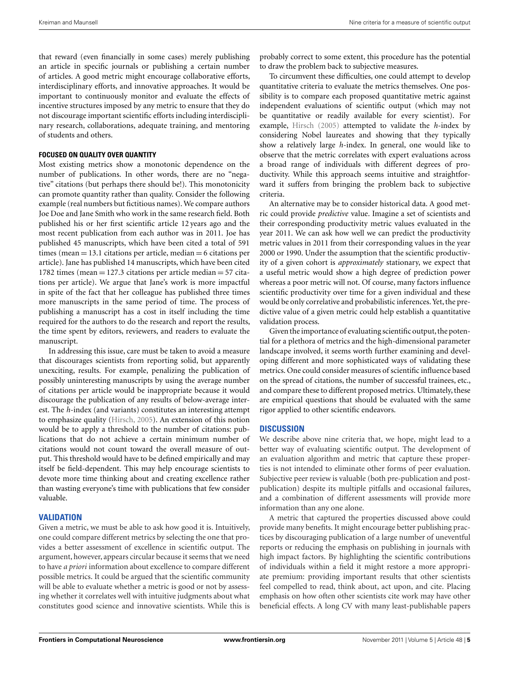that reward (even financially in some cases) merely publishing an article in specific journals or publishing a certain number of articles. A good metric might encourage collaborative efforts, interdisciplinary efforts, and innovative approaches. It would be important to continuously monitor and evaluate the effects of incentive structures imposed by any metric to ensure that they do not discourage important scientific efforts including interdisciplinary research, collaborations, adequate training, and mentoring of students and others.

## **FOCUSED ON QUALITY OVER QUANTITY**

Most existing metrics show a monotonic dependence on the number of publications. In other words, there are no "negative" citations (but perhaps there should be!). This monotonicity can promote quantity rather than quality. Consider the following example (real numbers but fictitious names). We compare authors Joe Doe and Jane Smith who work in the same research field. Both published his or her first scientific article 12 years ago and the most recent publication from each author was in 2011. Joe has published 45 manuscripts, which have been cited a total of 591 times (mean  $= 13.1$  citations per article, median  $= 6$  citations per article). Jane has published 14 manuscripts, which have been cited 1782 times (mean  $= 127.3$  citations per article median  $= 57$  citations per article). We argue that Jane's work is more impactful in spite of the fact that her colleague has published three times more manuscripts in the same period of time. The process of publishing a manuscript has a cost in itself including the time required for the authors to do the research and report the results, the time spent by editors, reviewers, and readers to evaluate the manuscript.

In addressing this issue, care must be taken to avoid a measure that discourages scientists from reporting solid, but apparently unexciting, results. For example, penalizing the publication of possibly uninteresting manuscripts by using the average number of citations per article would be inappropriate because it would discourage the publication of any results of below-average interest. The *h*-index (and variants) constitutes an interesting attempt to emphasize quality [\(Hirsch, 2005](#page-5-0)). An extension of this notion would be to apply a threshold to the number of citations: publications that do not achieve a certain minimum number of citations would not count toward the overall measure of output. This threshold would have to be defined empirically and may itself be field-dependent. This may help encourage scientists to devote more time thinking about and creating excellence rather than wasting everyone's time with publications that few consider valuable.

# **VALIDATION**

Given a metric, we must be able to ask how good it is. Intuitively, one could compare different metrics by selecting the one that provides a better assessment of excellence in scientific output. The argument, however, appears circular because it seems that we need to have *a priori* information about excellence to compare different possible metrics. It could be argued that the scientific community will be able to evaluate whether a metric is good or not by assessing whether it correlates well with intuitive judgments about what constitutes good science and innovative scientists. While this is

probably correct to some extent, this procedure has the potential to draw the problem back to subjective measures.

To circumvent these difficulties, one could attempt to develop quantitative criteria to evaluate the metrics themselves. One possibility is to compare each proposed quantitative metric against independent evaluations of scientific output (which may not be quantitative or readily available for every scientist). For example, [Hirsch](#page-5-0) [\(2005](#page-5-0)) attempted to validate the *h*-index by considering Nobel laureates and showing that they typically show a relatively large *h*-index. In general, one would like to observe that the metric correlates with expert evaluations across a broad range of individuals with different degrees of productivity. While this approach seems intuitive and straightforward it suffers from bringing the problem back to subjective criteria.

An alternative may be to consider historical data. A good metric could provide *predictive* value. Imagine a set of scientists and their corresponding productivity metric values evaluated in the year 2011. We can ask how well we can predict the productivity metric values in 2011 from their corresponding values in the year 2000 or 1990. Under the assumption that the scientific productivity of a given cohort is *approximately* stationary, we expect that a useful metric would show a high degree of prediction power whereas a poor metric will not. Of course, many factors influence scientific productivity over time for a given individual and these would be only correlative and probabilistic inferences. Yet, the predictive value of a given metric could help establish a quantitative validation process.

Given the importance of evaluating scientific output, the potential for a plethora of metrics and the high-dimensional parameter landscape involved, it seems worth further examining and developing different and more sophisticated ways of validating these metrics. One could consider measures of scientific influence based on the spread of citations, the number of successful trainees, etc., and compare these to different proposed metrics. Ultimately, these are empirical questions that should be evaluated with the same rigor applied to other scientific endeavors.

## **DISCUSSION**

We describe above nine criteria that, we hope, might lead to a better way of evaluating scientific output. The development of an evaluation algorithm and metric that capture these properties is not intended to eliminate other forms of peer evaluation. Subjective peer review is valuable (both pre-publication and postpublication) despite its multiple pitfalls and occasional failures, and a combination of different assessments will provide more information than any one alone.

A metric that captured the properties discussed above could provide many benefits. It might encourage better publishing practices by discouraging publication of a large number of uneventful reports or reducing the emphasis on publishing in journals with high impact factors. By highlighting the scientific contributions of individuals within a field it might restore a more appropriate premium: providing important results that other scientists feel compelled to read, think about, act upon, and cite. Placing emphasis on how often other scientists cite work may have other beneficial effects. A long CV with many least-publishable papers